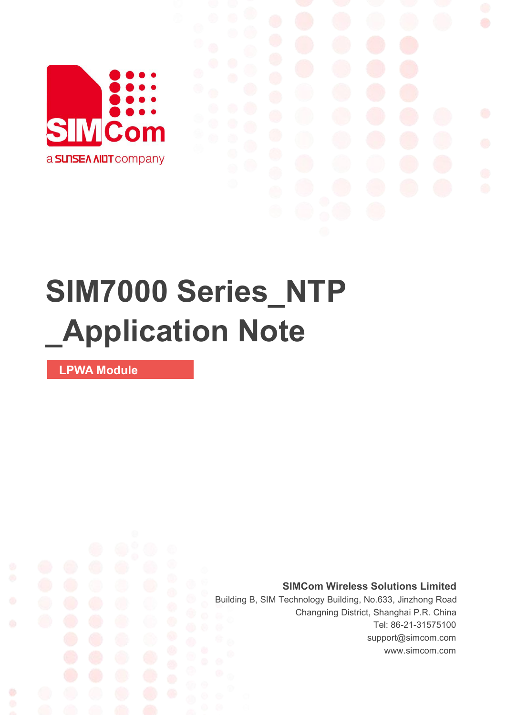

## **SIM7000 Series\_NTP \_Application Note**

**LPWA Module**

Ø

**SIMCom Wireless Solutions Limited**

Building B, SIM Technology Building, No.633, Jinzhong Road Changning District, Shanghai P.R. China Tel: 86-21-31575100 support@simcom.com www.simcom.com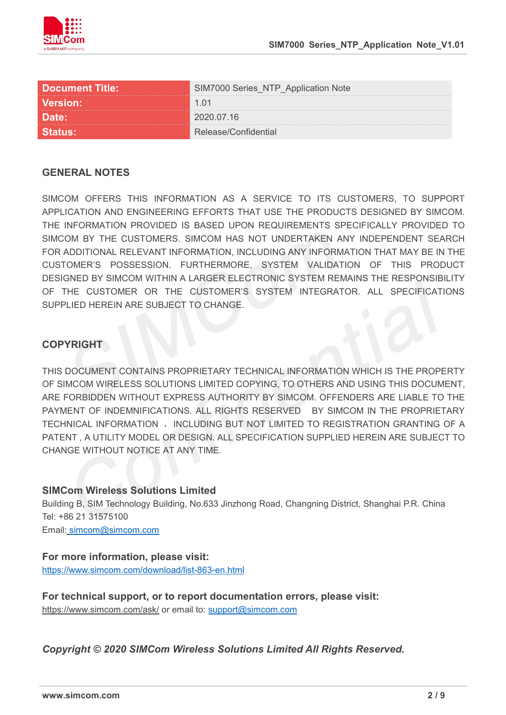

| <b>Document Title:</b> | <b>IM7000 Series NTP Application Note</b> |
|------------------------|-------------------------------------------|
| <b>Version:</b>        | 1.01                                      |
| <b>Date:</b>           | 2020.07.16                                |
|                        |                                           |

#### **GENERAL NOTES**

SIMCOM OFFERS THIS INFORMATION AS A SERVICE TO ITS CUSTOMERS. TO SUPPORT APPLICATION AND ENGINEERING EFFORTS THAT USE THE PRODUCTS DESIGNED BY SIMCOM. THE INFORMATION PROVIDED IS BASED UPON REQUIREMENTS SPECIFICALLY PROVIDED TO SIMCOM BY THE CUSTOMERS. SIMCOM HAS NOT UNDERTAKEN ANY INDEPENDENT SEARCH FOR ADDITIONAL RELEVANT INFORMATION, INCLUDING ANY INFORMATION THAT MAY BE IN THE CUSTOMER'S POSSESSION. FURTHERMORE, SYSTEM VALIDATION OF THIS PRODUCT DESIGNED BY SIMCOM WITHIN A LARGER ELECTRONIC SYSTEM REMAINS THE RESPONSIBILITY OF THE CUSTOMER OR THE CUSTOMER'S SYSTEM INTEGRATOR. ALL SPECIFICATIONS SUPPLIED HEREIN ARE SUBJECT TO CHANGE.

#### **COPYRIGHT**

THIS DOCUMENT CONTAINS PROPRIETARY TECHNICAL INFORMATION WHICH IS THE PROPERTY OF SIMCOM WIRELESS SOLUTIONS LIMITED COPYING, TO OTHERS AND USING THIS DOCUMENT, ARE FORBIDDEN WITHOUT EXPRESS AUTHORITY BY SIMCOM. OFFENDERS ARE LIABLE TO THE PAYMENT OF INDEMNIFICATIONS. ALL RIGHTS RESERVED BY SIMCOM IN THE PROPRIETARY TECHNICAL INFORMATION , INCLUDING BUT NOT LIMITED TO REGISTRATION GRANTING OF A PATENT , A UTILITY MODEL OR DESIGN. ALL SPECIFICATION SUPPLIED HEREIN ARE SUBJECT TO CHANGE WITHOUT NOTICE AT ANY TIME.

#### **SIMCom Wireless Solutions Limited**

Building B, SIM Technology Building, No.633 Jinzhong Road, Changning District, Shanghai P.R. China Tel: +86 21 31575100

Email: [simcom@simcom.com](mailto:simcom@simcom.com)

#### **For more information, please visit:**

<https://www.simcom.com/download/list-863-en.html>

**For technical support, or to report documentation errors, please visit:** https://www.simcom.com/ask/ or email to: [support@simcom.com](mailto:support@simcom.com)

*Copyright © 2020 SIMCom Wireless Solutions Limited All Rights Reserved.*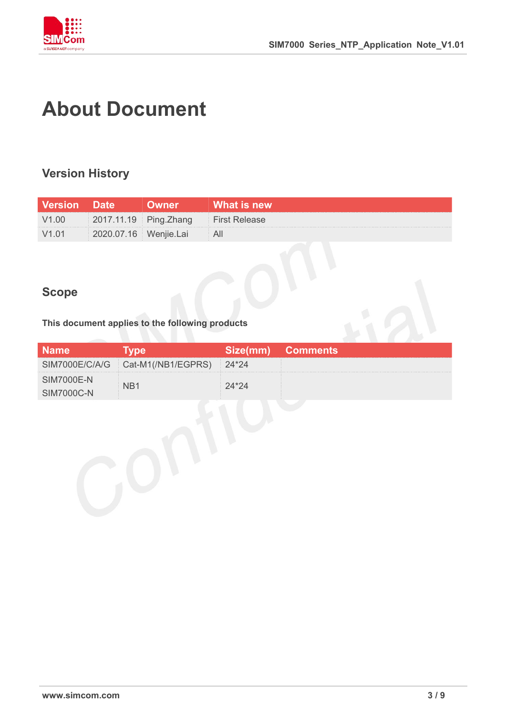

## **About Document**

#### **Version History**

| <b>Version Date</b> |                       | <b>Uwner</b>          |                                |
|---------------------|-----------------------|-----------------------|--------------------------------|
| V1.00               | 2017.11.19 Ping.Zhang |                       | <b>Example 1 First Release</b> |
| V1.01               |                       | 2020.07.16 Wenjie.Lai |                                |

#### **Scope**

# **This document applies to the following products**

| <b>Name</b>                            | <b>Type</b>                         | $ {\sf Size}( \sf{mm} )  $ | <b>Comments</b> |
|----------------------------------------|-------------------------------------|----------------------------|-----------------|
|                                        | SIM7000E/C/A/G   Cat-M1(/NB1/EGPRS) | 24*24                      |                 |
| <b>SIM7000E-N</b><br><b>SIM7000C-N</b> | N <sub>B</sub> 1                    | $24*24$                    |                 |
|                                        |                                     |                            |                 |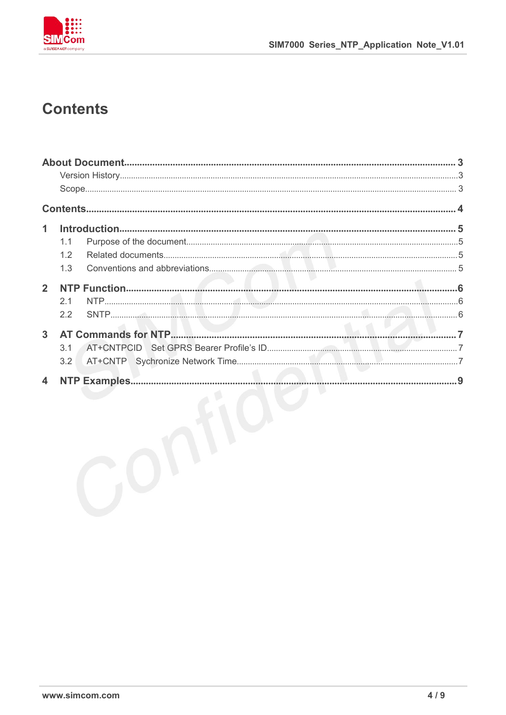

### **Contents**

| 1                       |     |  |
|-------------------------|-----|--|
|                         | 1.1 |  |
|                         | 1.2 |  |
|                         | 1.3 |  |
| $\overline{2}$          |     |  |
|                         | 2.1 |  |
|                         | 2.2 |  |
| $\overline{3}$          |     |  |
|                         | 3.1 |  |
|                         | 3.2 |  |
| $\overline{\mathbf{4}}$ |     |  |
|                         |     |  |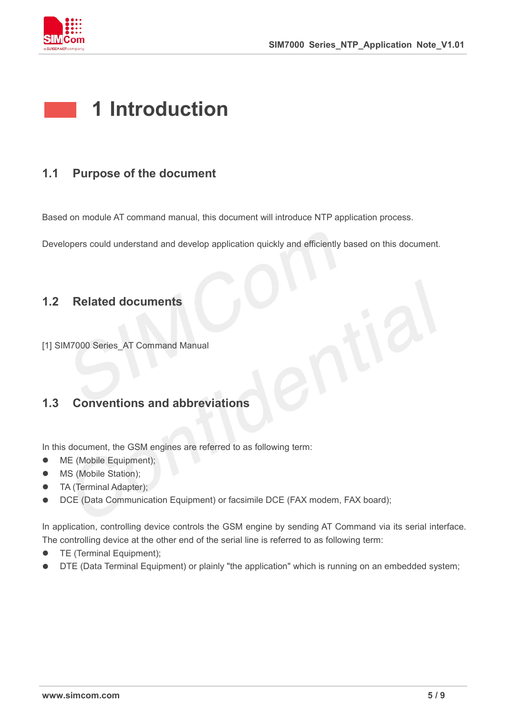

## **1 Introduction**

#### **1.1 Purpose of the document**

Based on module AT command manual, this document will introduce NTP application process.

Developers could understand and develop application quickly and efficiently based on this document.

#### **1.2 Related documents**

[1] SIM7000 Series AT Command Manual

#### **1.3 Conventions and abbreviations**

In this document, the GSM engines are referred to as following term:

- ME (Mobile Equipment);
- MS (Mobile Station);
- TA (Terminal Adapter);
- DCE (Data Communication Equipment) or facsimile DCE (FAX modem, FAX board);

In application, controlling device controls the GSM engine by sending AT Command via its serial interface. The controlling device at the other end of the serial line is referred to as following term:

- **•** TE (Terminal Equipment);
- DTE (Data Terminal Equipment) or plainly "the application" which is running on an embedded system;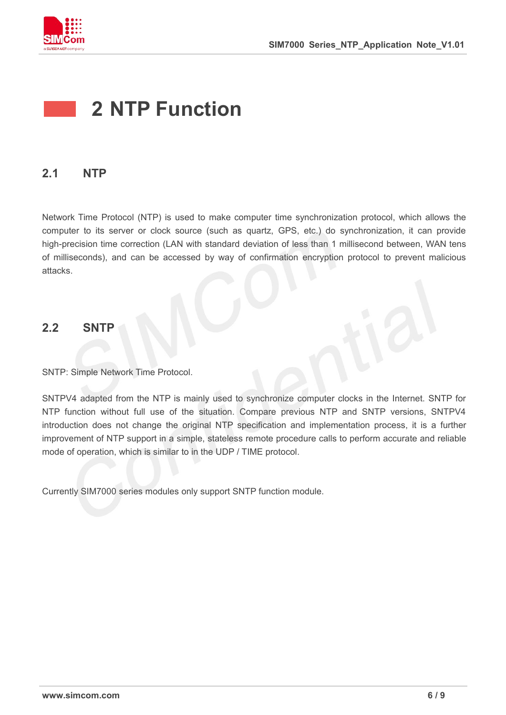

### **2 NTP Function**

#### **2.1 NTP**

Network Time Protocol (NTP) is used to make computer time synchronization protocol, which allows the computer to its server or clock source (such as quartz, GPS, etc.) do synchronization, it can provide high-precision time correction (LAN with standard deviation of less than 1 millisecond between, WAN tens of milliseconds), and can be accessed by way of confirmation encryption protocol to prevent malicious attacks.

#### **2.2 SNTP**

SNTP: Simple Network Time Protocol.

SNTPV4 adapted from the NTP is mainly used to synchronize computer clocks in the Internet. SNTP for NTP function without full use of the situation. Compare previous NTP and SNTP versions, SNTPV4 introduction does not change the original NTP specification and implementation process, it is a further improvement of NTP support in a simple, stateless remote procedure calls to perform accurate and reliable

mode of operation, which is similar to in the UDP / TIME protocol.<br>Currently SIM7000 series modules only support SNTP function module.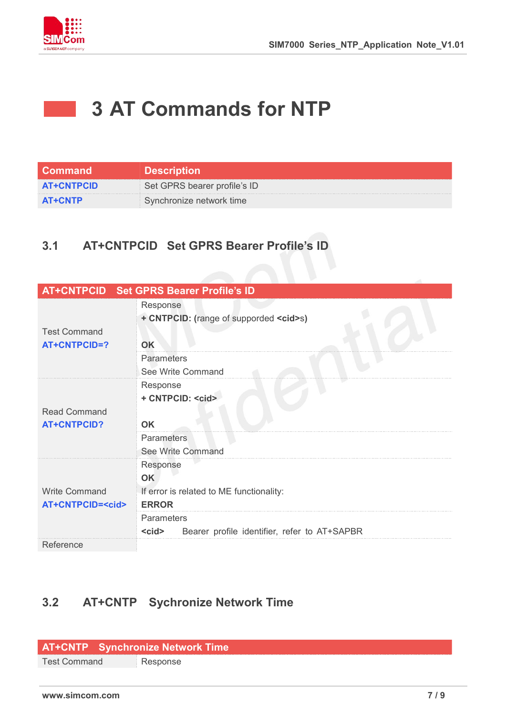

**STATE** 

## **3 AT Commands for NTP**

| <b>Command</b>    | <b>Description</b>           |
|-------------------|------------------------------|
| <b>AT+CNTPCID</b> | Set GPRS bearer profile's ID |
| <b>AT+CNTP</b>    | Synchronize network time     |

#### **3.1 AT+CNTPCID Set GPRS Bearer Profile's ID**

| AT+CNTPCID Set GPRS Bearer Profile's ID<br>Response<br>+ CNTPCID: (range of supporded <cid>s)<br/><b>Test Command</b><br/><b>AT+CNTPCID=?</b><br/>OK<br/>Parameters<br/>See Write Command<br/>Response<br/>+ CNTPCID: <cid><br/><b>Read Command</b><br/><b>AT+CNTPCID?</b><br/><b>OK</b><br/>Parameters<br/>See Write Command<br/>Response<br/><b>OK</b><br/><b>Write Command</b><br/>If error is related to ME functionality:<br/><b>AT+CNTPCID=<cid></cid></b><br/><b>ERROR</b><br/>Parameters<br/><cid><br/>Bearer profile identifier, refer to AT+SAPBR</cid></cid></cid> |  |
|-------------------------------------------------------------------------------------------------------------------------------------------------------------------------------------------------------------------------------------------------------------------------------------------------------------------------------------------------------------------------------------------------------------------------------------------------------------------------------------------------------------------------------------------------------------------------------|--|
|                                                                                                                                                                                                                                                                                                                                                                                                                                                                                                                                                                               |  |
|                                                                                                                                                                                                                                                                                                                                                                                                                                                                                                                                                                               |  |
|                                                                                                                                                                                                                                                                                                                                                                                                                                                                                                                                                                               |  |
|                                                                                                                                                                                                                                                                                                                                                                                                                                                                                                                                                                               |  |
|                                                                                                                                                                                                                                                                                                                                                                                                                                                                                                                                                                               |  |
|                                                                                                                                                                                                                                                                                                                                                                                                                                                                                                                                                                               |  |
|                                                                                                                                                                                                                                                                                                                                                                                                                                                                                                                                                                               |  |
|                                                                                                                                                                                                                                                                                                                                                                                                                                                                                                                                                                               |  |
|                                                                                                                                                                                                                                                                                                                                                                                                                                                                                                                                                                               |  |
|                                                                                                                                                                                                                                                                                                                                                                                                                                                                                                                                                                               |  |
|                                                                                                                                                                                                                                                                                                                                                                                                                                                                                                                                                                               |  |
|                                                                                                                                                                                                                                                                                                                                                                                                                                                                                                                                                                               |  |
|                                                                                                                                                                                                                                                                                                                                                                                                                                                                                                                                                                               |  |
|                                                                                                                                                                                                                                                                                                                                                                                                                                                                                                                                                                               |  |
|                                                                                                                                                                                                                                                                                                                                                                                                                                                                                                                                                                               |  |
|                                                                                                                                                                                                                                                                                                                                                                                                                                                                                                                                                                               |  |
|                                                                                                                                                                                                                                                                                                                                                                                                                                                                                                                                                                               |  |
|                                                                                                                                                                                                                                                                                                                                                                                                                                                                                                                                                                               |  |
|                                                                                                                                                                                                                                                                                                                                                                                                                                                                                                                                                                               |  |
| Reference                                                                                                                                                                                                                                                                                                                                                                                                                                                                                                                                                                     |  |

#### **3.2 AT+CNTP Sychronize Network Time**

#### **AT+CNTP Synchronize Network Time**

Test Command Response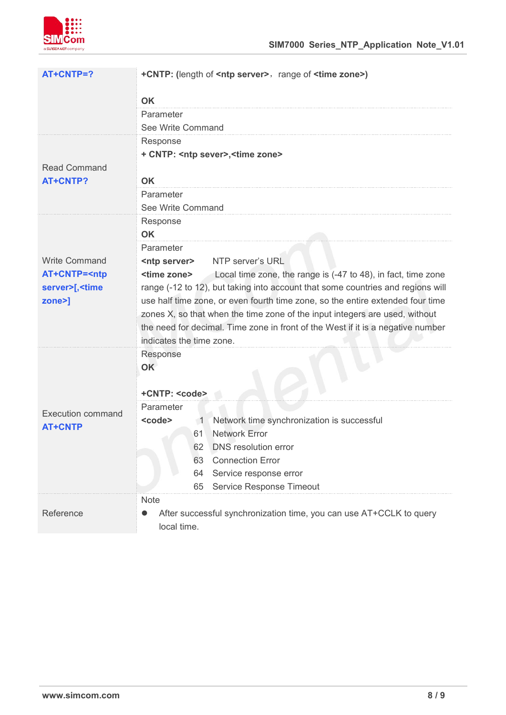

| AT+CNTP=?                                                                                                                                | +CNTP: (length of <ntp server="">, range of <time zone="">)</time></ntp>                                    |  |  |
|------------------------------------------------------------------------------------------------------------------------------------------|-------------------------------------------------------------------------------------------------------------|--|--|
|                                                                                                                                          | <b>OK</b>                                                                                                   |  |  |
|                                                                                                                                          | Parameter                                                                                                   |  |  |
|                                                                                                                                          | See Write Command                                                                                           |  |  |
|                                                                                                                                          | Response                                                                                                    |  |  |
|                                                                                                                                          | + CNTP: <ntp sever="">, <time zone=""></time></ntp>                                                         |  |  |
| <b>Read Command</b>                                                                                                                      |                                                                                                             |  |  |
| <b>AT+CNTP?</b>                                                                                                                          | <b>OK</b>                                                                                                   |  |  |
|                                                                                                                                          | Parameter                                                                                                   |  |  |
|                                                                                                                                          | See Write Command                                                                                           |  |  |
|                                                                                                                                          | Response                                                                                                    |  |  |
|                                                                                                                                          | <b>OK</b>                                                                                                   |  |  |
|                                                                                                                                          | Parameter                                                                                                   |  |  |
| <b>Write Command</b>                                                                                                                     | NTP server's URL<br><ntp server=""></ntp>                                                                   |  |  |
| AT+CNTP= <ntp< td=""><td colspan="3"><time zone=""><br/>Local time zone, the range is (-47 to 48), in fact, time zone</time></td></ntp<> | <time zone=""><br/>Local time zone, the range is (-47 to 48), in fact, time zone</time>                     |  |  |
| server>[, <time< td=""><td>range (-12 to 12), but taking into account that some countries and regions will</td></time<>                  | range (-12 to 12), but taking into account that some countries and regions will                             |  |  |
| zone>]                                                                                                                                   | use half time zone, or even fourth time zone, so the entire extended four time                              |  |  |
|                                                                                                                                          | zones X, so that when the time zone of the input integers are used, without                                 |  |  |
|                                                                                                                                          | the need for decimal. Time zone in front of the West if it is a negative number<br>indicates the time zone. |  |  |
|                                                                                                                                          | Response                                                                                                    |  |  |
|                                                                                                                                          | OK                                                                                                          |  |  |
|                                                                                                                                          |                                                                                                             |  |  |
|                                                                                                                                          | +CNTP: <code></code>                                                                                        |  |  |
|                                                                                                                                          | Parameter                                                                                                   |  |  |
| <b>Execution command</b><br><b>AT+CNTP</b>                                                                                               | Network time synchronization is successful<br><code><br/><math>\blacksquare</math></code>                   |  |  |
|                                                                                                                                          | <b>Network Error</b><br>61                                                                                  |  |  |
|                                                                                                                                          | DNS resolution error<br>62                                                                                  |  |  |
|                                                                                                                                          | <b>Connection Error</b><br>63                                                                               |  |  |
|                                                                                                                                          | Service response error<br>64                                                                                |  |  |
|                                                                                                                                          | Service Response Timeout<br>65                                                                              |  |  |
|                                                                                                                                          | <b>Note</b>                                                                                                 |  |  |
| Reference                                                                                                                                | After successful synchronization time, you can use AT+CCLK to query                                         |  |  |
|                                                                                                                                          | local time.                                                                                                 |  |  |